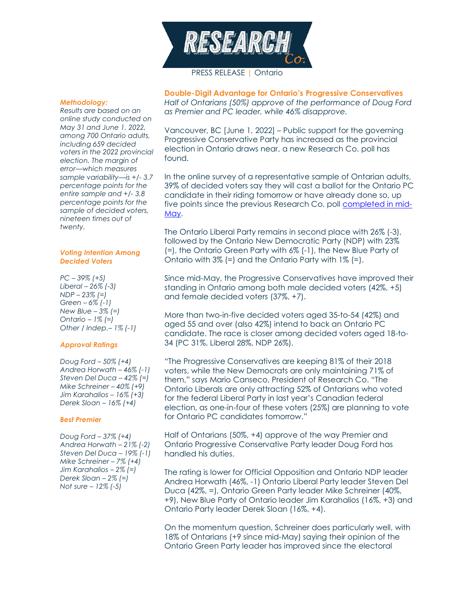

# PRESS RELEASE | Ontario

#### *Methodology:*

*Results are based on an online study conducted on May 31 and June 1, 2022, among 700 Ontario adults, including 659 decided voters in the 2022 provincial election. The margin of error—which measures sample variability—is +/- 3.7 percentage points for the entire sample and +/- 3.8 percentage points for the sample of decided voters, nineteen times out of twenty.*

#### *Voting Intention Among Decided Voters*

*PC – 39% (+5) Liberal – 26% (-3) NDP – 23% (=) Green – 6% (-1) New Blue – 3% (=) Ontario – 1% (=) Other / Indep.– 1% (-1)*

## *Approval Ratings*

*Doug Ford – 50% (+4) Andrea Horwath – 46% (-1) Steven Del Duca – 42% (=) Mike Schreiner – 40% (+9) Jim Karahalios – 16% (+3) Derek Sloan – 16% (+4)*

#### *Best Premier*

*Doug Ford – 37% (+4) Andrea Horwath – 21% (-2) Steven Del Duca – 19% (-1) Mike Schreiner – 7% (+4) Jim Karahalios – 2% (=) Derek Sloan – 2% (=) Not sure – 12% (-5)*

**Double-Digit Advantage for Ontario's Progressive Conservatives** *Half of Ontarians (50%) approve of the performance of Doug Ford as Premier and PC leader, while 46% disapprove.*

Vancouver, BC [June 1, 2022] – Public support for the governing Progressive Conservative Party has increased as the provincial election in Ontario draws near, a new Research Co. poll has found.

In the online survey of a representative sample of Ontarian adults, 39% of decided voters say they will cast a ballot for the Ontario PC candidate in their riding tomorrow or have already done so, up five points since the previous Research Co. poll [completed in mid-](https://researchco.ca/2022/05/18/ontario-2022/)[May.](https://researchco.ca/2022/05/18/ontario-2022/)

The Ontario Liberal Party remains in second place with 26% (-3), followed by the Ontario New Democratic Party (NDP) with 23% (=), the Ontario Green Party with 6% (-1), the New Blue Party of Ontario with  $3\%$  (=) and the Ontario Party with  $1\%$  (=).

Since mid-May, the Progressive Conservatives have improved their standing in Ontario among both male decided voters (42%, +5) and female decided voters (37%, +7).

More than two-in-five decided voters aged 35-to-54 (42%) and aged 55 and over (also 42%) intend to back an Ontario PC candidate. The race is closer among decided voters aged 18-to-34 (PC 31%, Liberal 28%, NDP 26%).

"The Progressive Conservatives are keeping 81% of their 2018 voters, while the New Democrats are only maintaining 71% of them," says Mario Canseco, President of Research Co. "The Ontario Liberals are only attracting 52% of Ontarians who voted for the federal Liberal Party in last year's Canadian federal election, as one-in-four of these voters (25%) are planning to vote for Ontario PC candidates tomorrow."

Half of Ontarians (50%, +4) approve of the way Premier and Ontario Progressive Conservative Party leader Doug Ford has handled his duties.

The rating is lower for Official Opposition and Ontario NDP leader Andrea Horwath (46%, -1) Ontario Liberal Party leader Steven Del Duca (42%, =), Ontario Green Party leader Mike Schreiner (40%, +9), New Blue Party of Ontario leader Jim Karahalios (16%, +3) and Ontario Party leader Derek Sloan (16%, +4).

On the momentum question, Schreiner does particularly well, with 18% of Ontarians (+9 since mid-May) saying their opinion of the Ontario Green Party leader has improved since the electoral